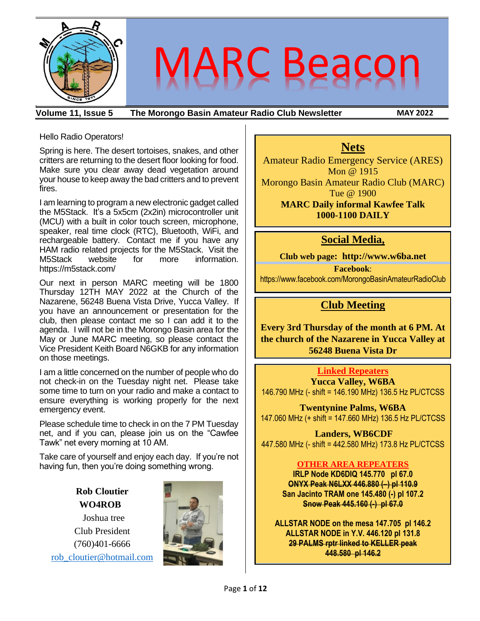

**Volume 11, Issue 5 The Morongo Basin Amateur Radio Club Newsletter MAY 2022**

#### Hello Radio Operators!

Spring is here. The desert tortoises, snakes, and other critters are returning to the desert floor looking for food. Make sure you clear away dead vegetation around your house to keep away the bad critters and to prevent fires.

I am learning to program a new electronic gadget called the M5Stack. It's a 5x5cm (2x2in) microcontroller unit (MCU) with a built in color touch screen, microphone, speaker, real time clock (RTC), Bluetooth, WiFi, and rechargeable battery. Contact me if you have any HAM radio related projects for the M5Stack. Visit the M5Stack website for more information. https://m5stack.com/

Our next in person MARC meeting will be 1800 Thursday 12TH MAY 2022 at the Church of the Nazarene, 56248 Buena Vista Drive, Yucca Valley. If you have an announcement or presentation for the club, then please contact me so I can add it to the agenda. I will not be in the Morongo Basin area for the May or June MARC meeting, so please contact the Vice President Keith Board N6GKB for any information on those meetings.

I am a little concerned on the number of people who do not check-in on the Tuesday night net. Please take some time to turn on your radio and make a contact to ensure everything is working properly for the next emergency event.

Please schedule time to check in on the 7 PM Tuesday net, and if you can, please join us on the "Cawfee Tawk" net every morning at 10 AM.

Take care of yourself and enjoy each day. If you're not having fun, then you're doing something wrong.

> **Rob Cloutier WO4ROB**

Joshua tree Club President (760)401-6666 [rob\\_cloutier@hotmail.com](mailto:rob_cloutier@hotmail.com)



#### **Nets**

Amateur Radio Emergency Service (ARES) Mon @ 1915 Morongo Basin Amateur Radio Club (MARC) Tue @ 1900

> **MARC Daily informal Kawfee Talk 1000-1100 DAILY**

#### **Social Media,**

**Club web page: http://www.w6ba.net Facebook**: https://www.facebook.com/MorongoBasinAmateurRadioClub

#### **Club Meeting**

**Every 3rd Thursday of the month at 6 PM. At the church of the Nazarene in Yucca Valley at 56248 Buena Vista Dr**

#### **Linked Repeaters**

**Yucca Valley, W6BA** 146.790 MHz (- shift = 146.190 MHz) 136.5 Hz PL/CTCSS

**Twentynine Palms, W6BA** 147.060 MHz (+ shift = 147.660 MHz) 136.5 Hz PL/CTCSS

**Landers, WB6CDF** 447.580 MHz (- shift = 442.580 MHz) 173.8 Hz PL/CTCSS

#### **OTHER AREA REPEATERS**

**IRLP Node KD6DIQ 145.770 pl 67.0 ONYX Peak N6LXX 446.880 (–) pl 110.9 San Jacinto TRAM one 145.480 (-) pl 107.2 Snow Peak 445.160 (-) pl 67.0**

**ALLSTAR NODE on the mesa 147.705 pl 146.2 ALLSTAR NODE in Y.V. 446.120 pl 131.8 29 PALMS rptr linked to KELLER peak 448.580 pl 146.2**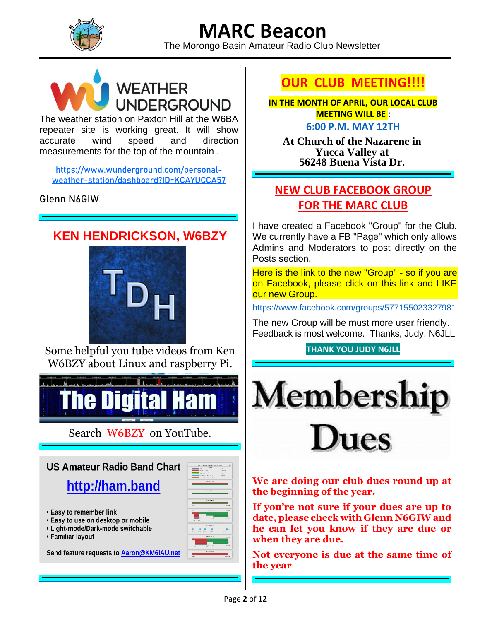**MARC Beacon** The Morongo Basin Amateur Radio Club Newsletter



The weather station on Paxton Hill at the W6BA repeater site is working great. It will show accurate wind speed and direction measurements for the top of the mountain .

**[https://www.wunderground.com/personal](https://eur01.safelinks.protection.outlook.com/?url=https%3A%2F%2Fwww.wunderground.com%2Fpersonal-weather-station%2Fdashboard%3FID%3DKCAYUCCA57&data=02%7C01%7C%7Cf7187d21093d40f9e2e408d62579631c%7C84df9e7fe9f640afb435aaaaaaaaaaaa%7C1%7C0%7C636737600607702346&sdata=YJDCnuRo4j3%2Ba3CTXZ81FxDgjlCxpHYeMwuLaxdQKp8%3D&reserved=0)[weather-station/dashboard?ID=KCAYUCCA57](https://eur01.safelinks.protection.outlook.com/?url=https%3A%2F%2Fwww.wunderground.com%2Fpersonal-weather-station%2Fdashboard%3FID%3DKCAYUCCA57&data=02%7C01%7C%7Cf7187d21093d40f9e2e408d62579631c%7C84df9e7fe9f640afb435aaaaaaaaaaaa%7C1%7C0%7C636737600607702346&sdata=YJDCnuRo4j3%2Ba3CTXZ81FxDgjlCxpHYeMwuLaxdQKp8%3D&reserved=0)**

#### **Glenn N6GIW**

### **KEN HENDRICKSON, W6BZY**



Some helpful you tube videos from Ken W6BZY about Linux and raspberry Pi.



Search W6BZY on YouTube.



- Easy to use on desktop or mobile
- Light-mode/Dark-mode switchable
- Familiar layout

Send feature requests to Aaron@KM6IAU.net



### **OUR CLUB MEETING!!!!**

**IN THE MONTH OF APRIL, OUR LOCAL CLUB MEETING WILL BE : 6:00 P.M. MAY 12TH**

**At Church of the Nazarene in Yucca Valley at 56248 Buena Vista Dr.**

#### **NEW CLUB FACEBOOK GROUP FOR THE MARC CLUB**

I have created a Facebook "Group" for the Club. We currently have a FB "Page" which only allows Admins and Moderators to post directly on the Posts section.

Here is the link to the new "Group" - so if you are on Facebook, please click on this link and LIKE our new Group.

[https://www.facebook.com/groups/577155023327981](https://na01.safelinks.protection.outlook.com/?url=https%3A%2F%2Fwww.facebook.com%2Fgroups%2F577155023327981&data=04%7C01%7C%7C0c6d4d16871346ad259308d98903d3a2%7C84df9e7fe9f640afb435aaaaaaaaaaaa%7C1%7C0%7C637691471798117192%7CUnknown%7CTWFpbGZsb3d8eyJWIjoiMC4wLjAwMDAiLCJQIjoiV2luMzIiLCJBTiI6Ik1haWwiLCJXVCI6Mn0%3D%7C1000&sdata=vtK5rgL0gP8bCYXVONwlkXie%2FhGhLdvjAPPBplHgyZM%3D&reserved=0)

The new Group will be must more user friendly. Feedback is most welcome. Thanks, Judy, N6JLL

**THANK YOU JUDY N6JLL**



**We are doing our club dues round up at the beginning of the year.**

**If you're not sure if your dues are up to date, please check with Glenn N6GIW and he can let you know if they are due or when they are due.**

**Not everyone is due at the same time of the year**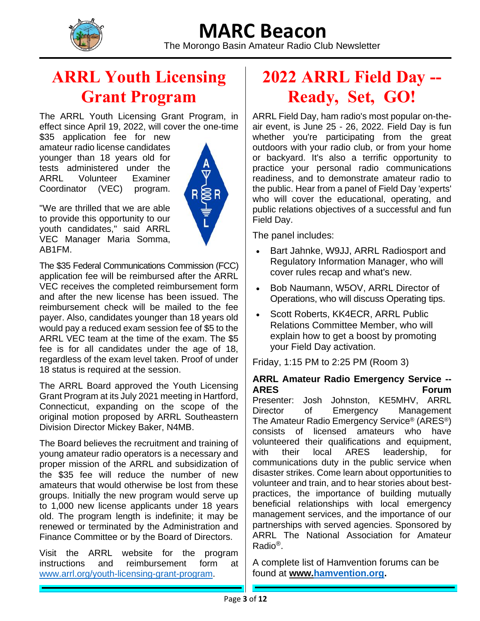

The Morongo Basin Amateur Radio Club Newsletter

### **ARRL Youth Licensing Grant Program**

The ARRL Youth Licensing Grant Program, in effect since April 19, 2022, will cover the one-time

\$35 application fee for new amateur radio license candidates younger than 18 years old for tests administered under the ARRL Volunteer Examiner Coordinator (VEC) program.



"We are thrilled that we are able to provide this opportunity to our youth candidates," said ARRL VEC Manager Maria Somma, AB1FM.

The \$35 Federal Communications Commission (FCC) application fee will be reimbursed after the ARRL VEC receives the completed reimbursement form and after the new license has been issued. The reimbursement check will be mailed to the fee payer. Also, candidates younger than 18 years old would pay a reduced exam session fee of \$5 to the ARRL VEC team at the time of the exam. The \$5 fee is for all candidates under the age of 18, regardless of the exam level taken. Proof of under 18 status is required at the session.

The ARRL Board approved the Youth Licensing Grant Program at its July 2021 meeting in Hartford, Connecticut, expanding on the scope of the original motion proposed by ARRL Southeastern Division Director Mickey Baker, N4MB.

The Board believes the recruitment and training of young amateur radio operators is a necessary and proper mission of the ARRL and subsidization of the \$35 fee will reduce the number of new amateurs that would otherwise be lost from these groups. Initially the new program would serve up to 1,000 new license applicants under 18 years old. The program length is indefinite; it may be renewed or terminated by the Administration and Finance Committee or by the Board of Directors.

Visit the ARRL website for the program instructions and reimbursement form at [www.arrl.org/youth-licensing-grant-program.](https://nam12.safelinks.protection.outlook.com/?url=http%3A%2F%2Fwww.arrl.org%2Fyouth-licensing-grant-program&data=05%7C01%7C%7C1ea97450e27b4959fcbe08da29819f75%7C84df9e7fe9f640afb435aaaaaaaaaaaa%7C1%7C0%7C637867933952136941%7CUnknown%7CTWFpbGZsb3d8eyJWIjoiMC4wLjAwMDAiLCJQIjoiV2luMzIiLCJBTiI6Ik1haWwiLCJXVCI6Mn0%3D%7C3000%7C%7C%7C&sdata=HcXgZI6gWCVZwmZLTRhjdpG5c6iZVsiy7AsyVvCPBYA%3D&reserved=0)

### **2022 ARRL Field Day -- Ready, Set, GO!**

ARRL Field Day, ham radio's most popular on-theair event, is June 25 - 26, 2022. Field Day is fun whether you're participating from the great outdoors with your radio club, or from your home or backyard. It's also a terrific opportunity to practice your personal radio communications readiness, and to demonstrate amateur radio to the public. Hear from a panel of Field Day 'experts' who will cover the educational, operating, and public relations objectives of a successful and fun Field Day.

The panel includes:

- Bart Jahnke, W9JJ, ARRL Radiosport and Regulatory Information Manager, who will cover rules recap and what's new.
- Bob Naumann, W5OV, ARRL Director of Operations, who will discuss Operating tips.
- Scott Roberts, KK4ECR, ARRL Public Relations Committee Member, who will explain how to get a boost by promoting your Field Day activation.

Friday, 1:15 PM to 2:25 PM (Room 3)

#### **ARRL Amateur Radio Emergency Service -- ARES Forum**

Presenter: Josh Johnston, KE5MHV, ARRL Director of Emergency Management The Amateur Radio Emergency Service® (ARES®) consists of licensed amateurs who have volunteered their qualifications and equipment, with their local ARES leadership, for communications duty in the public service when disaster strikes. Come learn about opportunities to volunteer and train, and to hear stories about bestpractices, the importance of building mutually beneficial relationships with local emergency management services, and the importance of our partnerships with served agencies. Sponsored by ARRL The National Association for Amateur Radio®.

A complete list of Hamvention forums can be found at **www[.hamvention.org.](https://nam12.safelinks.protection.outlook.com/?url=http%3A%2F%2Fhamvention.org%2F&data=05%7C01%7C%7C93ed452e3ae14e4d07ab08da1e4aa40d%7C84df9e7fe9f640afb435aaaaaaaaaaaa%7C1%7C0%7C637855603189674197%7CUnknown%7CTWFpbGZsb3d8eyJWIjoiMC4wLjAwMDAiLCJQIjoiV2luMzIiLCJBTiI6Ik1haWwiLCJXVCI6Mn0%3D%7C3000%7C%7C%7C&sdata=NjzM7PXUWcBlrk3Kn8YcMnYBw4u6CW42eX6P%2F9j16ds%3D&reserved=0)**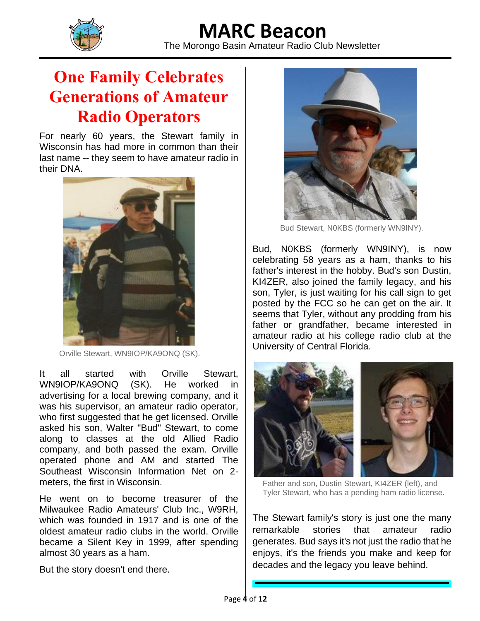

The Morongo Basin Amateur Radio Club Newsletter

### **One Family Celebrates Generations of Amateur Radio Operators**

For nearly 60 years, the Stewart family in Wisconsin has had more in common than their last name -- they seem to have amateur radio in their DNA.



Orville Stewart, WN9IOP/KA9ONQ (SK).

It all started with Orville Stewart, WN9IOP/KA9ONQ (SK). He worked in advertising for a local brewing company, and it was his supervisor, an amateur radio operator, who first suggested that he get licensed. Orville asked his son, Walter "Bud" Stewart, to come along to classes at the old Allied Radio company, and both passed the exam. Orville operated phone and AM and started The Southeast Wisconsin Information Net on 2 meters, the first in Wisconsin.

He went on to become treasurer of the Milwaukee Radio Amateurs' Club Inc., W9RH, which was founded in 1917 and is one of the oldest amateur radio clubs in the world. Orville became a Silent Key in 1999, after spending almost 30 years as a ham.

But the story doesn't end there.



Bud Stewart, N0KBS (formerly WN9INY).

Bud, N0KBS (formerly WN9INY), is now celebrating 58 years as a ham, thanks to his father's interest in the hobby. Bud's son Dustin, KI4ZER, also joined the family legacy, and his son, Tyler, is just waiting for his call sign to get posted by the FCC so he can get on the air. It seems that Tyler, without any prodding from his father or grandfather, became interested in amateur radio at his college radio club at the University of Central Florida.



Father and son, Dustin Stewart, KI4ZER (left), and Tyler Stewart, who has a pending ham radio license.

The Stewart family's story is just one the many remarkable stories that amateur radio generates. Bud says it's not just the radio that he enjoys, it's the friends you make and keep for decades and the legacy you leave behind.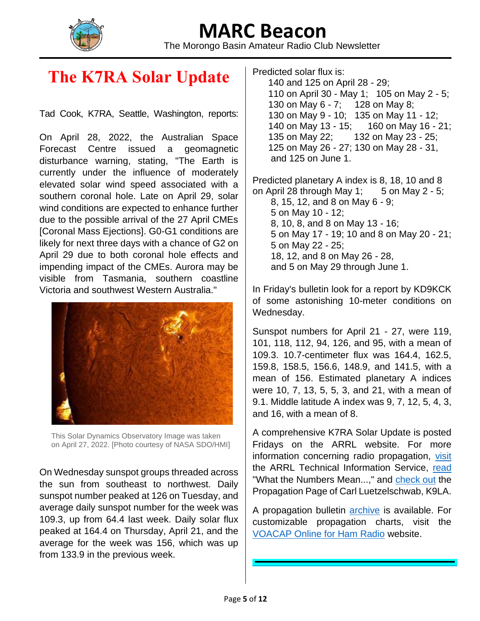

The Morongo Basin Amateur Radio Club Newsletter

### **The K7RA Solar Update**

Tad Cook, K7RA, Seattle, Washington, reports:

On April 28, 2022, the Australian Space Forecast Centre issued a geomagnetic disturbance warning, stating, "The Earth is currently under the influence of moderately elevated solar wind speed associated with a southern coronal hole. Late on April 29, solar wind conditions are expected to enhance further due to the possible arrival of the 27 April CMEs [Coronal Mass Ejections]. G0-G1 conditions are likely for next three days with a chance of G2 on April 29 due to both coronal hole effects and impending impact of the CMEs. Aurora may be visible from Tasmania, southern coastline Victoria and southwest Western Australia."



This Solar Dynamics Observatory Image was taken on April 27, 2022. [Photo courtesy of NASA SDO/HMI]

On Wednesday sunspot groups threaded across the sun from southeast to northwest. Daily sunspot number peaked at 126 on Tuesday, and average daily sunspot number for the week was 109.3, up from 64.4 last week. Daily solar flux peaked at 164.4 on Thursday, April 21, and the average for the week was 156, which was up from 133.9 in the previous week.

Predicted solar flux is: 140 and 125 on April 28 - 29; 110 on April 30 - May 1; 105 on May 2 - 5; 130 on May 6 - 7; 128 on May 8; 130 on May 9 - 10; 135 on May 11 - 12; 140 on May 13 - 15; 160 on May 16 - 21; 135 on May 22; 132 on May 23 - 25; 125 on May 26 - 27; 130 on May 28 - 31, and 125 on June 1.

Predicted planetary A index is 8, 18, 10 and 8 on April 28 through May 1;  $5$  on May 2 - 5; 8, 15, 12, and 8 on May 6 - 9; 5 on May 10 - 12; 8, 10, 8, and 8 on May 13 - 16; 5 on May 17 - 19; 10 and 8 on May 20 - 21; 5 on May 22 - 25; 18, 12, and 8 on May 26 - 28, and 5 on May 29 through June 1.

In Friday's bulletin look for a report by KD9KCK of some astonishing 10-meter conditions on Wednesday.

Sunspot numbers for April 21 - 27, were 119, 101, 118, 112, 94, 126, and 95, with a mean of 109.3. 10.7-centimeter flux was 164.4, 162.5, 159.8, 158.5, 156.6, 148.9, and 141.5, with a mean of 156. Estimated planetary A indices were 10, 7, 13, 5, 5, 3, and 21, with a mean of 9.1. Middle latitude A index was 9, 7, 12, 5, 4, 3, and 16, with a mean of 8.

A comprehensive K7RA Solar Update is posted Fridays on the ARRL website. For more information concerning radio propagation, [visit](https://nam12.safelinks.protection.outlook.com/?url=http%3A%2F%2Farrl.org%2Fpropagation-of-rf-signals&data=05%7C01%7C%7C1ea97450e27b4959fcbe08da29819f75%7C84df9e7fe9f640afb435aaaaaaaaaaaa%7C1%7C0%7C637867933952449422%7CUnknown%7CTWFpbGZsb3d8eyJWIjoiMC4wLjAwMDAiLCJQIjoiV2luMzIiLCJBTiI6Ik1haWwiLCJXVCI6Mn0%3D%7C3000%7C%7C%7C&sdata=SmguJg1tweL5Xg8Tli2aPo7%2B41Pe8GldrbFoXpdMeC0%3D&reserved=0) the ARRL Technical Information Service, [read](https://nam12.safelinks.protection.outlook.com/?url=http%3A%2F%2Farrl.org%2Fthe-sun-the-earth-the-ionosphere&data=05%7C01%7C%7C1ea97450e27b4959fcbe08da29819f75%7C84df9e7fe9f640afb435aaaaaaaaaaaa%7C1%7C0%7C637867933952449422%7CUnknown%7CTWFpbGZsb3d8eyJWIjoiMC4wLjAwMDAiLCJQIjoiV2luMzIiLCJBTiI6Ik1haWwiLCJXVCI6Mn0%3D%7C3000%7C%7C%7C&sdata=1ApheZuIZuhe1Osnyku6nDStWqvFYPEhWaOleP3i5TQ%3D&reserved=0) "What the Numbers Mean...," and [check out](https://nam12.safelinks.protection.outlook.com/?url=http%3A%2F%2Fk9la.us%2F&data=05%7C01%7C%7C1ea97450e27b4959fcbe08da29819f75%7C84df9e7fe9f640afb435aaaaaaaaaaaa%7C1%7C0%7C637867933952449422%7CUnknown%7CTWFpbGZsb3d8eyJWIjoiMC4wLjAwMDAiLCJQIjoiV2luMzIiLCJBTiI6Ik1haWwiLCJXVCI6Mn0%3D%7C3000%7C%7C%7C&sdata=xf6CQ3czIRJPZw7tNfz0HvnIM8otv8wD25FbsA%2BEd9I%3D&reserved=0) the Propagation Page of Carl Luetzelschwab, K9LA.

A propagation bulletin [archive](https://nam12.safelinks.protection.outlook.com/?url=http%3A%2F%2Farrl.org%2Fw1aw-bulletins-archive-propagation&data=05%7C01%7C%7C1ea97450e27b4959fcbe08da29819f75%7C84df9e7fe9f640afb435aaaaaaaaaaaa%7C1%7C0%7C637867933952449422%7CUnknown%7CTWFpbGZsb3d8eyJWIjoiMC4wLjAwMDAiLCJQIjoiV2luMzIiLCJBTiI6Ik1haWwiLCJXVCI6Mn0%3D%7C3000%7C%7C%7C&sdata=OYdQkq8SB3oTLaojGbN6QO8WIqbITHBpuUPNVQNztRE%3D&reserved=0) is available. For customizable propagation charts, visit the [VOACAP Online for Ham Radio](https://nam12.safelinks.protection.outlook.com/?url=https%3A%2F%2Fwww.voacap.com%2Fhf%2F&data=05%7C01%7C%7C1ea97450e27b4959fcbe08da29819f75%7C84df9e7fe9f640afb435aaaaaaaaaaaa%7C1%7C0%7C637867933952449422%7CUnknown%7CTWFpbGZsb3d8eyJWIjoiMC4wLjAwMDAiLCJQIjoiV2luMzIiLCJBTiI6Ik1haWwiLCJXVCI6Mn0%3D%7C3000%7C%7C%7C&sdata=FOGfhQXCyUcgc0DyT2RMRz8mf0OyGWrX0bSHx9Nl2EY%3D&reserved=0) website.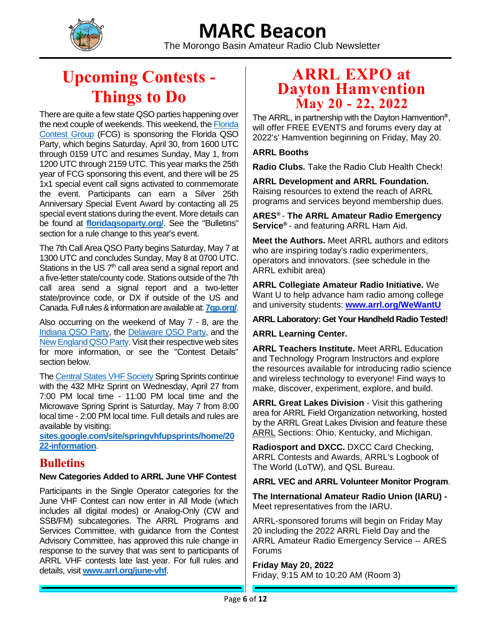

The Morongo Basin Amateur Radio Club Newsletter

### **Upcoming Contests - Things to Do**

There are quite a few state QSO parties happening over the next couple of weekends. This weekend, th[e Florida](https://nam12.safelinks.protection.outlook.com/?url=https%3A%2F%2Ffloridacontestgroup.org%2F&data=05%7C01%7C%7C7fd85cdb4d1247113fba08da283032ae%7C84df9e7fe9f640afb435aaaaaaaaaaaa%7C1%7C0%7C637866484746454151%7CUnknown%7CTWFpbGZsb3d8eyJWIjoiMC4wLjAwMDAiLCJQIjoiV2luMzIiLCJBTiI6Ik1haWwiLCJXVCI6Mn0%3D%7C3000%7C%7C%7C&sdata=Dp9f2MK14hIPHnc6R1VbDEZ523wfX6niioWiyu6l0BE%3D&reserved=0)  [Contest Group](https://nam12.safelinks.protection.outlook.com/?url=https%3A%2F%2Ffloridacontestgroup.org%2F&data=05%7C01%7C%7C7fd85cdb4d1247113fba08da283032ae%7C84df9e7fe9f640afb435aaaaaaaaaaaa%7C1%7C0%7C637866484746454151%7CUnknown%7CTWFpbGZsb3d8eyJWIjoiMC4wLjAwMDAiLCJQIjoiV2luMzIiLCJBTiI6Ik1haWwiLCJXVCI6Mn0%3D%7C3000%7C%7C%7C&sdata=Dp9f2MK14hIPHnc6R1VbDEZ523wfX6niioWiyu6l0BE%3D&reserved=0) (FCG) is sponsoring the Florida QSO Party, which begins Saturday, April 30, from 1600 UTC through 0159 UTC and resumes Sunday, May 1, from 1200 UTC through 2159 UTC. This year marks the 25th year of FCG sponsoring this event, and there will be 25 1x1 special event call signs activated to commemorate the event. Participants can earn a Silver 25th Anniversary Special Event Award by contacting all 25 special event stations during the event. More details can be found at **[floridaqsoparty.org/](https://nam12.safelinks.protection.outlook.com/?url=https%3A%2F%2Ffloridaqsoparty.org%2F&data=05%7C01%7C%7C7fd85cdb4d1247113fba08da283032ae%7C84df9e7fe9f640afb435aaaaaaaaaaaa%7C1%7C0%7C637866484746454151%7CUnknown%7CTWFpbGZsb3d8eyJWIjoiMC4wLjAwMDAiLCJQIjoiV2luMzIiLCJBTiI6Ik1haWwiLCJXVCI6Mn0%3D%7C3000%7C%7C%7C&sdata=U0eojbzWERcAMAAIo3tv1Oz55Mk50%2BzuAOh%2BailLNDE%3D&reserved=0)**. See the "Bulletins" section for a rule change to this year's event.

The 7th Call Area QSO Party begins Saturday, May 7 at 1300 UTC and concludes Sunday, May 8 at 0700 UTC. Stations in the US  $7<sup>th</sup>$  call area send a signal report and a five-letter state/county code. Stations outside of the 7th call area send a signal report and a two-letter state/province code, or DX if outside of the US and Canada. Full rules &information are available at: **[7qp.org/](https://nam12.safelinks.protection.outlook.com/?url=http%3A%2F%2F7qp.org%2F&data=05%7C01%7C%7C7fd85cdb4d1247113fba08da283032ae%7C84df9e7fe9f640afb435aaaaaaaaaaaa%7C1%7C0%7C637866484746454151%7CUnknown%7CTWFpbGZsb3d8eyJWIjoiMC4wLjAwMDAiLCJQIjoiV2luMzIiLCJBTiI6Ik1haWwiLCJXVCI6Mn0%3D%7C3000%7C%7C%7C&sdata=me9COP1L8LOixiYMeotVNPNIsVIKvxUUWtJMdOCXK9Y%3D&reserved=0)**.

Also occurring on the weekend of May 7 - 8, are the [Indiana QSO Party,](https://nam12.safelinks.protection.outlook.com/?url=http%3A%2F%2Fwww.hdxcc.org%2Finqp%2F&data=05%7C01%7C%7C7fd85cdb4d1247113fba08da283032ae%7C84df9e7fe9f640afb435aaaaaaaaaaaa%7C1%7C0%7C637866484746454151%7CUnknown%7CTWFpbGZsb3d8eyJWIjoiMC4wLjAwMDAiLCJQIjoiV2luMzIiLCJBTiI6Ik1haWwiLCJXVCI6Mn0%3D%7C3000%7C%7C%7C&sdata=RgtcSaos6MFxjvOPLCtvFY9%2BANkPOj5EVOaW04HsLoU%3D&reserved=0) the [Delaware QSO Party,](https://nam12.safelinks.protection.outlook.com/?url=https%3A%2F%2Fwww.fsarc.org%2Fqsoparty%2Fqsohome.htm&data=05%7C01%7C%7C7fd85cdb4d1247113fba08da283032ae%7C84df9e7fe9f640afb435aaaaaaaaaaaa%7C1%7C0%7C637866484746454151%7CUnknown%7CTWFpbGZsb3d8eyJWIjoiMC4wLjAwMDAiLCJQIjoiV2luMzIiLCJBTiI6Ik1haWwiLCJXVCI6Mn0%3D%7C3000%7C%7C%7C&sdata=6fMWOWRil2wep0tFq8aicjDSTKxE6PiuzkdgZQZkv%2F4%3D&reserved=0) and the [New England QSO Party.](https://nam12.safelinks.protection.outlook.com/?url=https%3A%2F%2Fneqp.org%2Frules%2F&data=05%7C01%7C%7C7fd85cdb4d1247113fba08da283032ae%7C84df9e7fe9f640afb435aaaaaaaaaaaa%7C1%7C0%7C637866484746454151%7CUnknown%7CTWFpbGZsb3d8eyJWIjoiMC4wLjAwMDAiLCJQIjoiV2luMzIiLCJBTiI6Ik1haWwiLCJXVCI6Mn0%3D%7C3000%7C%7C%7C&sdata=lFSdiEiRzuGpOYQge%2BNCCYZ%2FM%2FpPRge6KLyuCx2OyJs%3D&reserved=0) Visit their respective web sites for more information, or see the "Contest Details" section below.

The [Central States VHF Society](https://nam12.safelinks.protection.outlook.com/?url=https%3A%2F%2Fwww.csvhfs.org%2F&data=05%7C01%7C%7C7fd85cdb4d1247113fba08da283032ae%7C84df9e7fe9f640afb435aaaaaaaaaaaa%7C1%7C0%7C637866484746454151%7CUnknown%7CTWFpbGZsb3d8eyJWIjoiMC4wLjAwMDAiLCJQIjoiV2luMzIiLCJBTiI6Ik1haWwiLCJXVCI6Mn0%3D%7C3000%7C%7C%7C&sdata=eM9o03n0LGdxdwk9BXiE2aloRotgKFmcE1GL0zpFWZk%3D&reserved=0) Spring Sprints continue with the 432 MHz Sprint on Wednesday, April 27 from 7:00 PM local time - 11:00 PM local time and the Microwave Spring Sprint is Saturday, May 7 from 8:00 local time - 2:00 PM local time. Full details and rules are available by visiting:

**[sites.google.com/site/springvhfupsprints/home/20](https://nam12.safelinks.protection.outlook.com/?url=https%3A%2F%2Fsites.google.com%2Fsite%2Fspringvhfupsprints%2Fhome%2F2022-information&data=05%7C01%7C%7C7fd85cdb4d1247113fba08da283032ae%7C84df9e7fe9f640afb435aaaaaaaaaaaa%7C1%7C0%7C637866484746454151%7CUnknown%7CTWFpbGZsb3d8eyJWIjoiMC4wLjAwMDAiLCJQIjoiV2luMzIiLCJBTiI6Ik1haWwiLCJXVCI6Mn0%3D%7C3000%7C%7C%7C&sdata=V4obiX9zjP9HEnoC2A6YxswP9MRIspCsgqMtbPv2YY0%3D&reserved=0) [22-information](https://nam12.safelinks.protection.outlook.com/?url=https%3A%2F%2Fsites.google.com%2Fsite%2Fspringvhfupsprints%2Fhome%2F2022-information&data=05%7C01%7C%7C7fd85cdb4d1247113fba08da283032ae%7C84df9e7fe9f640afb435aaaaaaaaaaaa%7C1%7C0%7C637866484746454151%7CUnknown%7CTWFpbGZsb3d8eyJWIjoiMC4wLjAwMDAiLCJQIjoiV2luMzIiLCJBTiI6Ik1haWwiLCJXVCI6Mn0%3D%7C3000%7C%7C%7C&sdata=V4obiX9zjP9HEnoC2A6YxswP9MRIspCsgqMtbPv2YY0%3D&reserved=0)**.

#### **Bulletins**

#### **New Categories Added to ARRL June VHF Contest**

Participants in the Single Operator categories for the June VHF Contest can now enter in All Mode (which includes all digital modes) or Analog-Only (CW and SSB/FM) subcategories. The ARRL Programs and Services Committee, with guidance from the Contest Advisory Committee, has approved this rule change in response to the survey that was sent to participants of ARRL VHF contests late last year. For full rules and details, visit **[www.arrl.org/june-vhf](https://nam12.safelinks.protection.outlook.com/?url=http%3A%2F%2Fwww.arrl.org%2Fjune-vhf&data=05%7C01%7C%7C7fd85cdb4d1247113fba08da283032ae%7C84df9e7fe9f640afb435aaaaaaaaaaaa%7C1%7C0%7C637866484746454151%7CUnknown%7CTWFpbGZsb3d8eyJWIjoiMC4wLjAwMDAiLCJQIjoiV2luMzIiLCJBTiI6Ik1haWwiLCJXVCI6Mn0%3D%7C3000%7C%7C%7C&sdata=c8O7izd7XPlnd4n1PY%2Fg8GTkRMv62EixkhhcDUjlJ20%3D&reserved=0)**.

#### **ARRL EXPO at Dayton Hamvention May 20 - 22, 2022**

The ARRL, in partnership with the Dayton Hamvention**®** , will offer FREE EVENTS and forums every day at 2022's' Hamvention beginning on Friday, May 20.

#### **ARRL Booths**

**Radio Clubs.** Take the Radio Club Health Check!

**ARRL Development and ARRL Foundation.** Raising resources to extend the reach of ARRL programs and services beyond membership dues.

**ARES®**  - **The ARRL Amateur Radio Emergency Service®**  - and featuring ARRL Ham Aid.

**Meet the Authors.** Meet ARRL authors and editors who are inspiring today's radio experimenters, operators and innovators. (see schedule in the ARRL exhibit area)

**ARRL Collegiate Amateur Radio Initiative.** We Want U to help advance ham radio among college and university students: **[www.arrl.org/WeWantU](https://nam12.safelinks.protection.outlook.com/?url=http%3A%2F%2Fwww.arrl.org%2FWeWantU&data=05%7C01%7C%7C93ed452e3ae14e4d07ab08da1e4aa40d%7C84df9e7fe9f640afb435aaaaaaaaaaaa%7C1%7C0%7C637855603189674197%7CUnknown%7CTWFpbGZsb3d8eyJWIjoiMC4wLjAwMDAiLCJQIjoiV2luMzIiLCJBTiI6Ik1haWwiLCJXVCI6Mn0%3D%7C3000%7C%7C%7C&sdata=QMNW%2FVDVBj5wThz6NBkA6JrSBCWBU%2BLPLTlw3VE%2Fjuk%3D&reserved=0)**

#### **ARRL Laboratory: Get Your Handheld Radio Tested!**

**ARRL Learning Center.**

**ARRL Teachers Institute.** Meet ARRL Education and Technology Program Instructors and explore the resources available for introducing radio science and wireless technology to everyone! Find ways to make, discover, experiment, explore, and build.

**ARRL Great Lakes Division** - Visit this gathering area for ARRL Field Organization networking, hosted by the ARRL Great Lakes Division and feature these ARRL Sections: Ohio, Kentucky, and Michigan.

**Radiosport and DXCC.** DXCC Card Checking, ARRL Contests and Awards, ARRL's Logbook of The World (LoTW), and QSL Bureau.

#### **ARRL VEC and ARRL Volunteer Monitor Program**.

**The International Amateur Radio Union (IARU) -** Meet representatives from the IARU.

ARRL-sponsored forums will begin on Friday May 20 including the 2022 ARRL Field Day and the ARRL Amateur Radio Emergency Service -- ARES Forums

**Friday May 20, 2022** Friday, 9:15 AM to 10:20 AM (Room 3)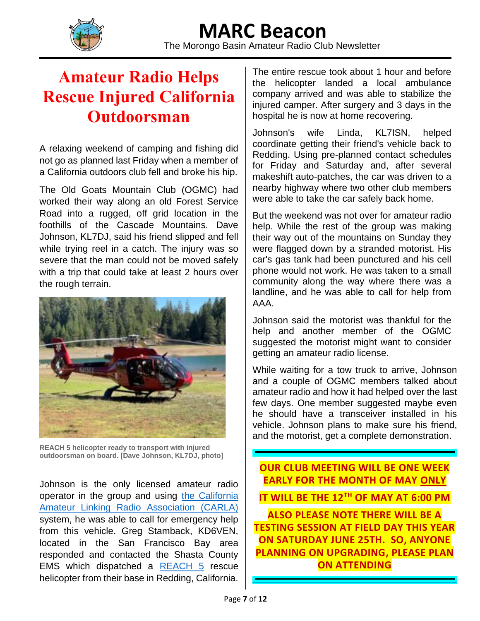

The Morongo Basin Amateur Radio Club Newsletter

### **Amateur Radio Helps Rescue Injured California Outdoorsman**

A relaxing weekend of camping and fishing did not go as planned last Friday when a member of a California outdoors club fell and broke his hip.

The Old Goats Mountain Club (OGMC) had worked their way along an old Forest Service Road into a rugged, off grid location in the foothills of the Cascade Mountains. Dave Johnson, KL7DJ, said his friend slipped and fell while trying reel in a catch. The injury was so severe that the man could not be moved safely with a trip that could take at least 2 hours over the rough terrain.



**REACH 5 helicopter ready to transport with injured outdoorsman on board. [Dave Johnson, KL7DJ, photo]**

Johnson is the only licensed amateur radio operator in the group and using [the California](https://nam12.safelinks.protection.outlook.com/?url=http%3A%2F%2Fwww.carlaradio.net%2Fthesystem%2F&data=05%7C01%7C%7C93ed452e3ae14e4d07ab08da1e4aa40d%7C84df9e7fe9f640afb435aaaaaaaaaaaa%7C1%7C0%7C637855603189517953%7CUnknown%7CTWFpbGZsb3d8eyJWIjoiMC4wLjAwMDAiLCJQIjoiV2luMzIiLCJBTiI6Ik1haWwiLCJXVCI6Mn0%3D%7C3000%7C%7C%7C&sdata=NeoKM%2BI8YNLfsZitn6h%2FomcBbl5V1x1G7pFZ1LI6rAI%3D&reserved=0)  [Amateur Linking Radio Association \(CARLA\)](https://nam12.safelinks.protection.outlook.com/?url=http%3A%2F%2Fwww.carlaradio.net%2Fthesystem%2F&data=05%7C01%7C%7C93ed452e3ae14e4d07ab08da1e4aa40d%7C84df9e7fe9f640afb435aaaaaaaaaaaa%7C1%7C0%7C637855603189517953%7CUnknown%7CTWFpbGZsb3d8eyJWIjoiMC4wLjAwMDAiLCJQIjoiV2luMzIiLCJBTiI6Ik1haWwiLCJXVCI6Mn0%3D%7C3000%7C%7C%7C&sdata=NeoKM%2BI8YNLfsZitn6h%2FomcBbl5V1x1G7pFZ1LI6rAI%3D&reserved=0) system, he was able to call for emergency help from this vehicle. Greg Stamback, KD6VEN, located in the San Francisco Bay area responded and contacted the Shasta County EMS which dispatched a [REACH 5](https://nam12.safelinks.protection.outlook.com/?url=https%3A%2F%2Freachair.com%2Fabout-us%2Fhistory%2F&data=05%7C01%7C%7C93ed452e3ae14e4d07ab08da1e4aa40d%7C84df9e7fe9f640afb435aaaaaaaaaaaa%7C1%7C0%7C637855603189674197%7CUnknown%7CTWFpbGZsb3d8eyJWIjoiMC4wLjAwMDAiLCJQIjoiV2luMzIiLCJBTiI6Ik1haWwiLCJXVCI6Mn0%3D%7C3000%7C%7C%7C&sdata=xh%2B2ucBnn763tz%2FJMXdLU4cbZbyoBQtnAFao8aUJans%3D&reserved=0) rescue helicopter from their base in Redding, California.

The entire rescue took about 1 hour and before the helicopter landed a local ambulance company arrived and was able to stabilize the injured camper. After surgery and 3 days in the hospital he is now at home recovering.

Johnson's wife Linda, KL7ISN, helped coordinate getting their friend's vehicle back to Redding. Using pre-planned contact schedules for Friday and Saturday and, after several makeshift auto-patches, the car was driven to a nearby highway where two other club members were able to take the car safely back home.

But the weekend was not over for amateur radio help. While the rest of the group was making their way out of the mountains on Sunday they were flagged down by a stranded motorist. His car's gas tank had been punctured and his cell phone would not work. He was taken to a small community along the way where there was a landline, and he was able to call for help from AAA.

Johnson said the motorist was thankful for the help and another member of the OGMC suggested the motorist might want to consider getting an amateur radio license.

While waiting for a tow truck to arrive, Johnson and a couple of OGMC members talked about amateur radio and how it had helped over the last few days. One member suggested maybe even he should have a transceiver installed in his vehicle. Johnson plans to make sure his friend, and the motorist, get a complete demonstration.

**OUR CLUB MEETING WILL BE ONE WEEK EARLY FOR THE MONTH OF MAY ONLY IT WILL BE THE 12TH OF MAY AT 6:00 PM ALSO PLEASE NOTE THERE WILL BE A TESTING SESSION AT FIELD DAY THIS YEAR ON SATURDAY JUNE 25TH. SO, ANYONE PLANNING ON UPGRADING, PLEASE PLAN ON ATTENDING**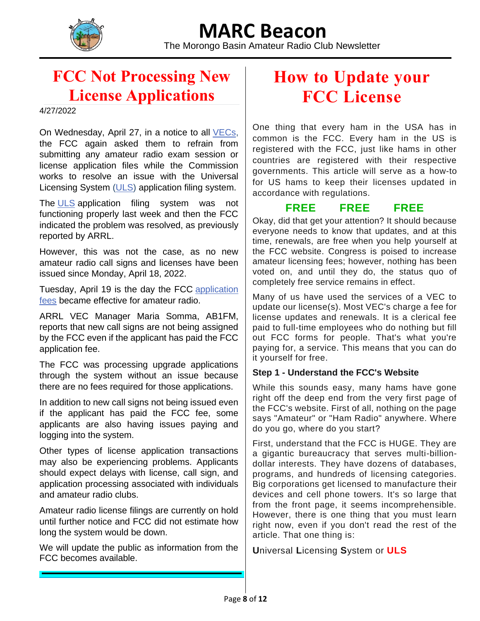

The Morongo Basin Amateur Radio Club Newsletter

### **FCC Not Processing New License Applications**

4/27/2022

On Wednesday, April 27, in a notice to all **VECs**, the FCC again asked them to refrain from submitting any amateur radio exam session or license application files while the Commission works to resolve an issue with the Universal Licensing System [\(ULS\)](https://www.fcc.gov/wireless/universal-licensing-system) application filing system.

The [ULS](https://www.fcc.gov/wireless/universal-licensing-system) application filing system was not functioning properly last week and then the FCC indicated the problem was resolved, as previously reported by ARRL.

However, this was not the case, as no new amateur radio call signs and licenses have been issued since Monday, April 18, 2022.

Tuesday, April 19 is the day the FCC [application](http://www.arrl.org/fcc-application-fee) [fees](http://www.arrl.org/fcc-application-fee) became effective for amateur radio.

ARRL VEC Manager Maria Somma, AB1FM, reports that new call signs are not being assigned by the FCC even if the applicant has paid the FCC application fee.

The FCC was processing upgrade applications through the system without an issue because there are no fees required for those applications.

In addition to new call signs not being issued even if the applicant has paid the FCC fee, some applicants are also having issues paying and logging into the system.

Other types of license application transactions may also be experiencing problems. Applicants should expect delays with license, call sign, and application processing associated with individuals and amateur radio clubs.

Amateur radio license filings are currently on hold until further notice and FCC did not estimate how long the system would be down.

We will update the public as information from the FCC becomes available.

### **How to Update your FCC License**

One thing that every ham in the USA has in common is the FCC. Every ham in the US is registered with the FCC, just like hams in other countries are registered with their respective governments. This article will serve as a how-to for US hams to keep their licenses updated in accordance with regulations.

#### **FREE FREE FREE**

Okay, did that get your attention? It should because everyone needs to know that updates, and at this time, renewals, are free when you help yourself at the FCC website. Congress is poised to increase amateur licensing fees; however, nothing has been voted on, and until they do, the status quo of completely free service remains in effect.

Many of us have used the services of a VEC to update our license(s). Most VEC's charge a fee for license updates and renewals. It is a clerical fee paid to full-time employees who do nothing but fill out FCC forms for people. That's what you're paying for, a service. This means that you can do it yourself for free.

#### **Step 1 - Understand the FCC's Website**

While this sounds easy, many hams have gone right off the deep end from the very first page of the FCC's website. First of all, nothing on the page says "Amateur" or "Ham Radio" anywhere. Where do you go, where do you start?

First, understand that the FCC is HUGE. They are a gigantic bureaucracy that serves multi-billiondollar interests. They have dozens of databases, programs, and hundreds of licensing categories. Big corporations get licensed to manufacture their devices and cell phone towers. It's so large that from the front page, it seems incomprehensible. However, there is one thing that you must learn right now, even if you don't read the rest of the article. That one thing is:

**U**niversal **L**icensing **S**ystem or **ULS**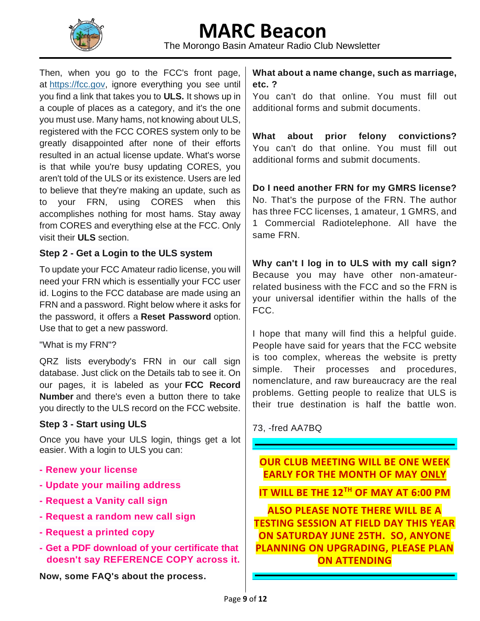

The Morongo Basin Amateur Radio Club Newsletter

Then, when you go to the FCC's front page, at [https://fcc.gov,](https://fcc.gov/) ignore everything you see until you find a link that takes you to **ULS.** It shows up in a couple of places as a category, and it's the one you must use. Many hams, not knowing about ULS, registered with the FCC CORES system only to be greatly disappointed after none of their efforts resulted in an actual license update. What's worse is that while you're busy updating CORES, you aren't told of the ULS or its existence. Users are led to believe that they're making an update, such as to your FRN, using CORES when this accomplishes nothing for most hams. Stay away from CORES and everything else at the FCC. Only visit their **ULS** section.

#### **Step 2 - Get a Login to the ULS system**

To update your FCC Amateur radio license, you will need your FRN which is essentially your FCC user id. Logins to the FCC database are made using an FRN and a password. Right below where it asks for the password, it offers a **Reset Password** option. Use that to get a new password.

#### "What is my FRN"?

QRZ lists everybody's FRN in our call sign database. Just click on the Details tab to see it. On our pages, it is labeled as your **FCC Record Number** and there's even a button there to take you directly to the ULS record on the FCC website.

#### **Step 3 - Start using ULS**

Once you have your ULS login, things get a lot easier. With a login to ULS you can:

- **- Renew your license**
- **- Update your mailing address**
- **- Request a Vanity call sign**
- **- Request a random new call sign**
- **- Request a printed copy**
- **- Get a PDF download of your certificate that doesn't say REFERENCE COPY across it.**

**Now, some FAQ's about the process.**

**What about a name change, such as marriage, etc. ?**

You can't do that online. You must fill out additional forms and submit documents.

**What about prior felony convictions?** You can't do that online. You must fill out additional forms and submit documents.

**Do I need another FRN for my GMRS license?** No. That's the purpose of the FRN. The author has three FCC licenses, 1 amateur, 1 GMRS, and 1 Commercial Radiotelephone. All have the same FRN.

**Why can't I log in to ULS with my call sign?** Because you may have other non-amateurrelated business with the FCC and so the FRN is your universal identifier within the halls of the FCC.

I hope that many will find this a helpful guide. People have said for years that the FCC website is too complex, whereas the website is pretty simple. Their processes and procedures, nomenclature, and raw bureaucracy are the real problems. Getting people to realize that ULS is their true destination is half the battle won.

73, -fred AA7BQ

**OUR CLUB MEETING WILL BE ONE WEEK EARLY FOR THE MONTH OF MAY ONLY**

**IT WILL BE THE 12TH OF MAY AT 6:00 PM**

**ALSO PLEASE NOTE THERE WILL BE A TESTING SESSION AT FIELD DAY THIS YEAR ON SATURDAY JUNE 25TH. SO, ANYONE PLANNING ON UPGRADING, PLEASE PLAN ON ATTENDING**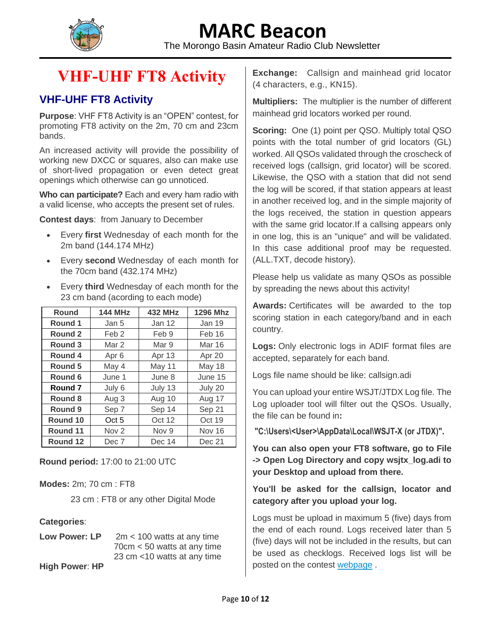

The Morongo Basin Amateur Radio Club Newsletter

### **[VHF-UHF FT8 Activity](http://www.ft8activity.eu/)**

#### **VHF-UHF FT8 Activity**

**Purpose**: VHF FT8 Activity is an "OPEN" contest, for promoting FT8 activity on the 2m, 70 cm and 23cm bands.

An increased activity will provide the possibility of working new DXCC or squares, also can make use of short-lived propagation or even detect great openings which otherwise can go unnoticed.

**Who can participate?** Each and every ham radio with a valid license, who accepts the present set of rules.

**Contest days**: from January to December

- Every **first** Wednesday of each month for the 2m band (144.174 MHz)
- Every **second** Wednesday of each month for the 70cm band (432.174 MHz)
- Every **third** Wednesday of each month for the 23 cm band (acording to each mode)

| <b>Round</b> | <b>144 MHz</b>   | <b>432 MHz</b>   | <b>1296 Mhz</b> |  |
|--------------|------------------|------------------|-----------------|--|
| Round 1      | Jan 5            | Jan 12           | Jan 19          |  |
| Round 2      | Feb <sub>2</sub> | Feb 9            | Feb 16          |  |
| Round 3      | Mar 2            | Mar 9            | Mar 16          |  |
| Round 4      | Apr <sub>6</sub> | Apr 13           | Apr 20          |  |
| Round 5      | May 4            | May 11           | May 18          |  |
| Round 6      | June 1           | June 8           | June 15         |  |
| Round 7      | July 6           | July 13          | July 20         |  |
| Round 8      | Aug 3            | Aug 10           | Aug 17          |  |
| Round 9      | Sep 7            | Sep 14<br>Sep 21 |                 |  |
| Round 10     | Oct 5            | Oct 19<br>Oct 12 |                 |  |
| Round 11     | Nov <sub>2</sub> | Nov 9<br>Nov 16  |                 |  |
| Round 12     | Dec 7            | Dec 14           | Dec 21          |  |

**Round period:** 17:00 to 21:00 UTC

**Modes:** 2m; 70 cm : FT8

23 cm : FT8 or any other Digital Mode

#### **Categories**:

**Low Power: LP** 2m < 100 watts at any time 70cm < 50 watts at any time 23 cm <10 watts at any time

**High Power**: **HP**

**Exchange:** Callsign and mainhead grid locator (4 characters, e.g., KN15).

**Multipliers:** The multiplier is the number of different mainhead grid locators worked per round.

**Scoring:** One (1) point per QSO. Multiply total QSO points with the total number of grid locators (GL) worked. All QSOs validated through the croscheck of received logs (callsign, grid locator) will be scored. Likewise, the QSO with a station that did not send the log will be scored, if that station appears at least in another received log, and in the simple majority of the logs received, the station in question appears with the same grid locator.If a callsing appears only in one log, this is an "unique" and will be validated. In this case additional proof may be requested. (ALL.TXT, decode history).

Please help us validate as many QSOs as possible by spreading the news about this activity!

**Awards:** Certificates will be awarded to the top scoring station in each category/band and in each country.

**Logs:** Only electronic logs in ADIF format files are accepted, separately for each band.

Logs file name should be like: callsign.adi

You can upload your entire WSJT/JTDX Log file. The Log uploader tool will filter out the QSOs. Usually, the file can be found in**:**

**"C:\Users\<User>\AppData\Local\WSJT-X (or JTDX)".**

**You can also open your FT8 software, go to File -> Open Log Directory and copy wsjtx\_log.adi to your Desktop and upload from there.**

#### **You'll be asked for the callsign, locator and category after you upload your log.**

Logs must be upload in maximum 5 (five) days from the end of each round. Logs received later than 5 (five) days will not be included in the results, but can be used as checklogs. Received logs list will be posted on the contest [webpage](http://www.ft8activity.eu/index.php/received-log-s) .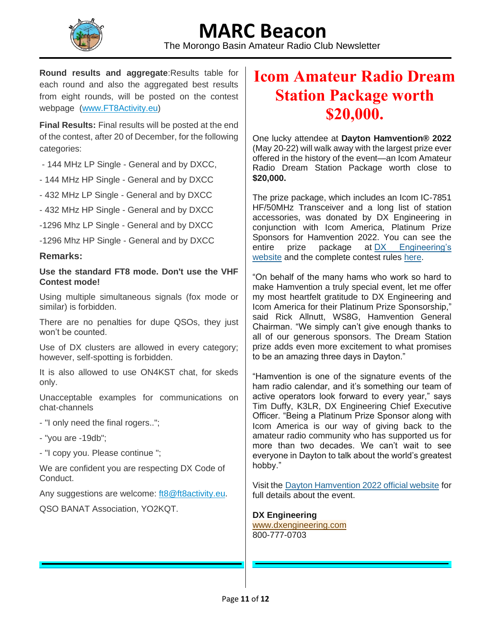

**Round results and aggregate**:Results table for each round and also the aggregated best results from eight rounds, will be posted on the contest webpage [\(www.FT8Activity.eu\)](http://www.ft8activity.eu/)

**Final Results:** Final results will be posted at the end of the contest, after 20 of December, for the following categories:

- 144 MHz LP Single General and by DXCC,
- 144 MHz HP Single General and by DXCC
- 432 MHz LP Single General and by DXCC
- 432 MHz HP Single General and by DXCC
- -1296 Mhz LP Single General and by DXCC
- -1296 Mhz HP Single General and by DXCC

#### **Remarks:**

#### **Use the standard FT8 mode. Don't use the VHF Contest mode!**

Using multiple simultaneous signals (fox mode or similar) is forbidden.

There are no penalties for dupe QSOs, they just won't be counted.

Use of DX clusters are allowed in every category; however, self-spotting is forbidden.

It is also allowed to use ON4KST chat, for skeds only.

Unacceptable examples for communications on chat-channels

- "I only need the final rogers..";
- "you are -19db";

- "I copy you. Please continue ";

We are confident you are respecting DX Code of Conduct.

Any suggestions are welcome: [ft8@ft8activity.eu.](mailto:ft8@ft8activity.eu)

QSO BANAT Association, YO2KQT.

### **Icom Amateur Radio Dream Station Package worth \$20,000.**

One lucky attendee at **Dayton Hamvention® 2022** (May 20-22) will walk away with the largest prize ever offered in the history of the event—an Icom Amateur Radio Dream Station Package worth close to **\$20,000.**

The prize package, which includes an Icom IC-7851 HF/50MHz Transceiver and a long list of station accessories, was donated by DX Engineering in conjunction with Icom America, Platinum Prize Sponsors for Hamvention 2022. You can see the entire prize package at [DX Engineering's](http://link.mediaoutreach.meltwater.com/ls/click?upn=O9JojPEMJYb9LLkbLgL9vAW0-2BtOI9zB9xS1sV-2BcVJsg0nN85GSNrPPvDDM-2Bz7M-2FY6sO6XNul315Xlrj-2FXhVeJvSlbeIkB-2ByrLrqZbc2YYzWgf3gb72ASXQuiHiAafoveSwBlqDv9MjFr5ib2-2BCj2RZkhqMVRcNScireOa285XTBR-2B7OvDgFOx-2Fn1tkELQcOIBs8-2FrQGvCwrzXbDRIRzhxsnM5zYSQTjDHhbMOpxdVx0-3Dzo3N_1j6Hen8yOvA4jOSLyv5DL-2FF8PnP-2Fl38GehryySuntxqGJPYT0d1XYeOCW5OqCYjYqtE8dCeRPPF1vjQsfZ-2BGeuZUVE0d1aoUf4bh5kZ6JAAZdykvlR-2F6nlMDAKMCYqXNfhdAttoo7jz4w3Ob3a9vlLY8ywyTp-2F0oyYfoMJgL-2FBlLi2lGCBmYKgeY7tROWyWV2m-2FdxFw7tGx-2F39u33oAyq-2FNiub2d-2BPGn0vcc0qFB-2BCpbwxLCE-2F5SbydPP6Nr-2BYwIMG6N-2BeQeRk062CPNf3N-2B-2F53BkT35TLlTC9W3i0zJXDIbJYswCH4P60XsJ7jTzGuFvEnx6aKmjhDGP1Ouj2mwV-2FZdwtVvcti76Y3Y5vj0jGm6N6trEY7FZo-2FQblVq6RTM)  [website](http://link.mediaoutreach.meltwater.com/ls/click?upn=O9JojPEMJYb9LLkbLgL9vAW0-2BtOI9zB9xS1sV-2BcVJsg0nN85GSNrPPvDDM-2Bz7M-2FY6sO6XNul315Xlrj-2FXhVeJvSlbeIkB-2ByrLrqZbc2YYzWgf3gb72ASXQuiHiAafoveSwBlqDv9MjFr5ib2-2BCj2RZkhqMVRcNScireOa285XTBR-2B7OvDgFOx-2Fn1tkELQcOIBs8-2FrQGvCwrzXbDRIRzhxsnM5zYSQTjDHhbMOpxdVx0-3Dzo3N_1j6Hen8yOvA4jOSLyv5DL-2FF8PnP-2Fl38GehryySuntxqGJPYT0d1XYeOCW5OqCYjYqtE8dCeRPPF1vjQsfZ-2BGeuZUVE0d1aoUf4bh5kZ6JAAZdykvlR-2F6nlMDAKMCYqXNfhdAttoo7jz4w3Ob3a9vlLY8ywyTp-2F0oyYfoMJgL-2FBlLi2lGCBmYKgeY7tROWyWV2m-2FdxFw7tGx-2F39u33oAyq-2FNiub2d-2BPGn0vcc0qFB-2BCpbwxLCE-2F5SbydPP6Nr-2BYwIMG6N-2BeQeRk062CPNf3N-2B-2F53BkT35TLlTC9W3i0zJXDIbJYswCH4P60XsJ7jTzGuFvEnx6aKmjhDGP1Ouj2mwV-2FZdwtVvcti76Y3Y5vj0jGm6N6trEY7FZo-2FQblVq6RTM) and the complete contest rules [here.](http://link.mediaoutreach.meltwater.com/ls/click?upn=O9JojPEMJYb9LLkbLgL9vJLm-2F-2FcDfuHU91Qpw5o-2Fw9htLqbNhAYT3PoGtK9hh5lkpp6TkQbW7Wntqh-2FIeziZnQ-3D-3DTFbs_1j6Hen8yOvA4jOSLyv5DL-2FF8PnP-2Fl38GehryySuntxqGJPYT0d1XYeOCW5OqCYjYqtE8dCeRPPF1vjQsfZ-2BGeuZUVE0d1aoUf4bh5kZ6JAAZdykvlR-2F6nlMDAKMCYqXNfhdAttoo7jz4w3Ob3a9vlLY8ywyTp-2F0oyYfoMJgL-2FBlLi2lGCBmYKgeY7tROWyWV2m-2FdxFw7tGx-2F39u33oAyqyuBv28NAVeNL1t7OCk06mTsya6WyVp7lVO0XofhcqKIoJ6icwePGn4TbYpeQWOUm1LC-2BOy35-2Bc03-2BYQhm-2BaqLnh-2FmEqq0cwsIpCck2qLmDcfasJ89vfu3hNHnXvnPE6iQPGWdvcuRcBQmuumOfxhX4p9rePn5S9dAYR2p-2B-2BvE4-2B)

"On behalf of the many hams who work so hard to make Hamvention a truly special event, let me offer my most heartfelt gratitude to DX Engineering and Icom America for their Platinum Prize Sponsorship," said Rick Allnutt, WS8G, Hamvention General Chairman. "We simply can't give enough thanks to all of our generous sponsors. The Dream Station prize adds even more excitement to what promises to be an amazing three days in Dayton."

"Hamvention is one of the signature events of the ham radio calendar, and it's something our team of active operators look forward to every year," says Tim Duffy, K3LR, DX Engineering Chief Executive Officer. "Being a Platinum Prize Sponsor along with Icom America is our way of giving back to the amateur radio community who has supported us for more than two decades. We can't wait to see everyone in Dayton to talk about the world's greatest hobby."

Visit the [Dayton Hamvention 2022 official website](http://link.mediaoutreach.meltwater.com/ls/click?upn=O9JojPEMJYb9LLkbLgL9vJLm-2F-2FcDfuHU91Qpw5o-2Fw9ivxtZvSybRGlr-2BX-2FkNSqFT4sx1_1j6Hen8yOvA4jOSLyv5DL-2FF8PnP-2Fl38GehryySuntxqGJPYT0d1XYeOCW5OqCYjYqtE8dCeRPPF1vjQsfZ-2BGeuZUVE0d1aoUf4bh5kZ6JAAZdykvlR-2F6nlMDAKMCYqXNfhdAttoo7jz4w3Ob3a9vlLY8ywyTp-2F0oyYfoMJgL-2FBlLi2lGCBmYKgeY7tROWyWV2m-2FdxFw7tGx-2F39u33oAyq4Duk2u4UDCPpQ5DT-2BQN9oGL8b-2Fr9vyb4QgxNtUyv8YFqEbUXTaajFh-2BDPBh5yQkNgtT9QllTqDA2bxZiNqlUIQjTLmWv6wdGSrO1L42q-2FHeMd4wp58-2FTtDGjyzbgdSadxhV5UmPe9zBfJQFZgE3YVn25TbbrNGDujuGF4fZRArm) for full details about the event.

**DX Engineering**

[www.dxengineering.com](http://link.mediaoutreach.meltwater.com/ls/click?upn=O9JojPEMJYb9LLkbLgL9vAW0-2BtOI9zB9xS1sV-2BcVJsghpoc-2Bcfqr3fY8Ja7nSJ7MS_7W_1j6Hen8yOvA4jOSLyv5DL-2FF8PnP-2Fl38GehryySuntxqGJPYT0d1XYeOCW5OqCYjYqtE8dCeRPPF1vjQsfZ-2BGeuZUVE0d1aoUf4bh5kZ6JAAZdykvlR-2F6nlMDAKMCYqXNfhdAttoo7jz4w3Ob3a9vlLY8ywyTp-2F0oyYfoMJgL-2FBlLi2lGCBmYKgeY7tROWyWV2m-2FdxFw7tGx-2F39u33oAyq8p4hQxVOzG66u31nIlWbhqT9NPIUHbaM6VZ2ZhfoJDYLsfrOP9r4-2BNzxG-2F4HvqfZ9N-2BZPfyD8hF1Edgr-2F5Khg1Xu2P-2FS-2FkqEyqOOMTDetDydrU6FCFfgd0Fk8Vbwvy91ae5bo3KymU0mwi-2BxjO7t8gNHQlsULX53HDk3tstS7s0) 800-777-0703